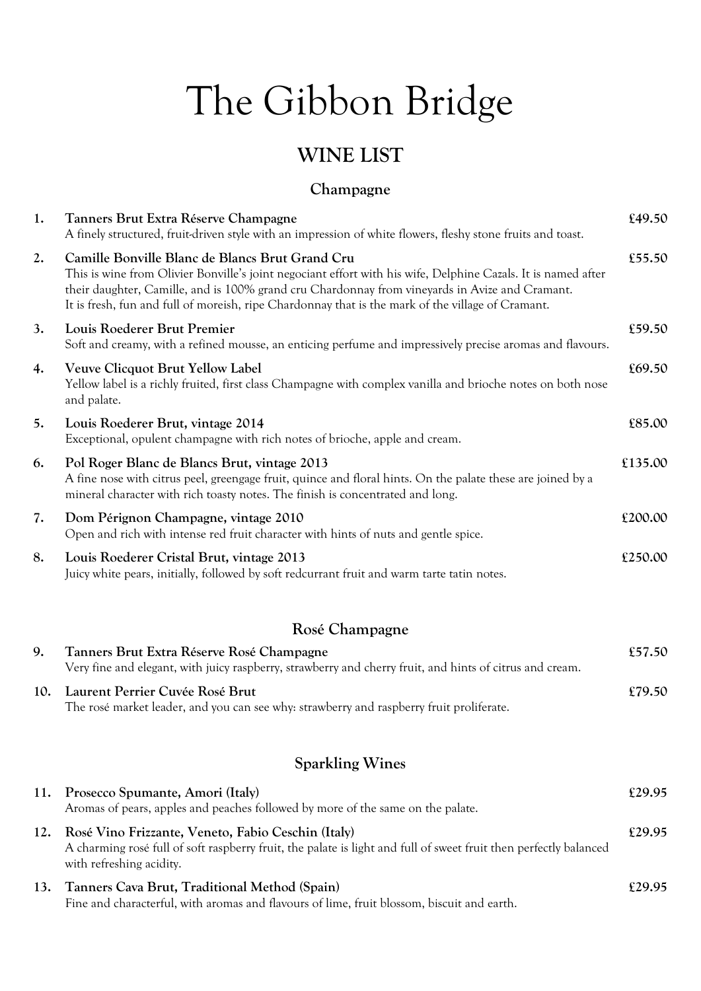# The Gibbon Bridge

# **WINE LIST**

#### **Champagne**

| 1.  | Tanners Brut Extra Réserve Champagne<br>A finely structured, fruit-driven style with an impression of white flowers, fleshy stone fruits and toast.                                                                                                                                                                                                                     | £49.50  |
|-----|-------------------------------------------------------------------------------------------------------------------------------------------------------------------------------------------------------------------------------------------------------------------------------------------------------------------------------------------------------------------------|---------|
| 2.  | Camille Bonville Blanc de Blancs Brut Grand Cru<br>This is wine from Olivier Bonville's joint negociant effort with his wife, Delphine Cazals. It is named after<br>their daughter, Camille, and is 100% grand cru Chardonnay from vineyards in Avize and Cramant.<br>It is fresh, fun and full of moreish, ripe Chardonnay that is the mark of the village of Cramant. | £55.50  |
| 3.  | Louis Roederer Brut Premier<br>Soft and creamy, with a refined mousse, an enticing perfume and impressively precise aromas and flavours.                                                                                                                                                                                                                                | £59.50  |
| 4.  | <b>Veuve Clicquot Brut Yellow Label</b><br>Yellow label is a richly fruited, first class Champagne with complex vanilla and brioche notes on both nose<br>and palate.                                                                                                                                                                                                   | £69.50  |
| 5.  | Louis Roederer Brut, vintage 2014<br>Exceptional, opulent champagne with rich notes of brioche, apple and cream.                                                                                                                                                                                                                                                        | £85.00  |
| 6.  | Pol Roger Blanc de Blancs Brut, vintage 2013<br>A fine nose with citrus peel, greengage fruit, quince and floral hints. On the palate these are joined by a<br>mineral character with rich toasty notes. The finish is concentrated and long.                                                                                                                           | £135.00 |
| 7.  | Dom Pérignon Champagne, vintage 2010<br>Open and rich with intense red fruit character with hints of nuts and gentle spice.                                                                                                                                                                                                                                             | £200.00 |
| 8.  | Louis Roederer Cristal Brut, vintage 2013<br>Juicy white pears, initially, followed by soft redcurrant fruit and warm tarte tatin notes.                                                                                                                                                                                                                                | £250.00 |
|     | Rosé Champagne                                                                                                                                                                                                                                                                                                                                                          |         |
| 9.  | Tanners Brut Extra Réserve Rosé Champagne<br>Very fine and elegant, with juicy raspberry, strawberry and cherry fruit, and hints of citrus and cream.                                                                                                                                                                                                                   | £57.50  |
| 10. | Laurent Perrier Cuvée Rosé Brut<br>The rosé market leader, and you can see why: strawberry and raspberry fruit proliferate.                                                                                                                                                                                                                                             | £79.50  |
|     | <b>Sparkling Wines</b>                                                                                                                                                                                                                                                                                                                                                  |         |
| 11. | Prosecco Spumante, Amori (Italy)<br>Aromas of pears, apples and peaches followed by more of the same on the palate.                                                                                                                                                                                                                                                     | £29.95  |
| 12. | Rosé Vino Frizzante, Veneto, Fabio Ceschin (Italy)<br>A charming rose full of soft raspberry fruit, the palate is light and full of sweet fruit then perfectly balanced<br>with refreshing acidity.                                                                                                                                                                     | £29.95  |
| 13. | Tanners Cava Brut, Traditional Method (Spain)<br>Fine and characterful, with aromas and flavours of lime, fruit blossom, biscuit and earth.                                                                                                                                                                                                                             | £29.95  |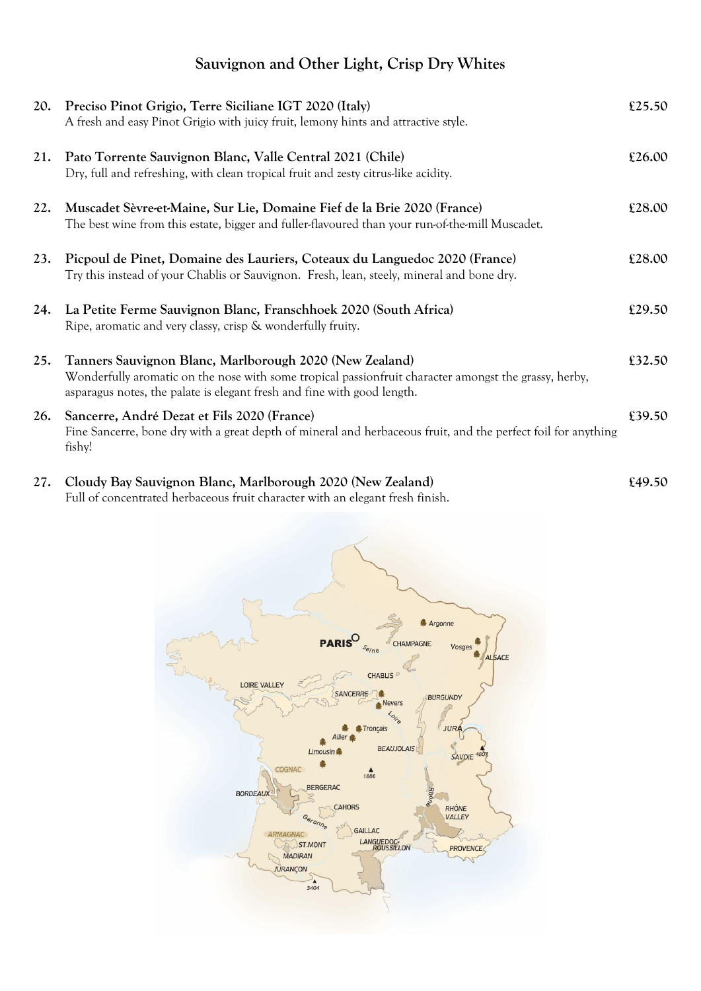### **Sauvignon and Other Light, Crisp Dry Whites**

| 20. | Preciso Pinot Grigio, Terre Siciliane IGT 2020 (Italy)<br>A fresh and easy Pinot Grigio with juicy fruit, lemony hints and attractive style.                                                                                                | £25.50 |
|-----|---------------------------------------------------------------------------------------------------------------------------------------------------------------------------------------------------------------------------------------------|--------|
| 21. | Pato Torrente Sauvignon Blanc, Valle Central 2021 (Chile)<br>Dry, full and refreshing, with clean tropical fruit and zesty citrus-like acidity.                                                                                             | £26.00 |
| 22. | Muscadet Sèvre-et-Maine, Sur Lie, Domaine Fief de la Brie 2020 (France)<br>The best wine from this estate, bigger and fuller-flavoured than your run-of-the-mill Muscadet.                                                                  | £28.00 |
| 23. | Picpoul de Pinet, Domaine des Lauriers, Coteaux du Languedoc 2020 (France)<br>Try this instead of your Chablis or Sauvignon. Fresh, lean, steely, mineral and bone dry.                                                                     | £28.00 |
| 24. | La Petite Ferme Sauvignon Blanc, Franschhoek 2020 (South Africa)<br>Ripe, aromatic and very classy, crisp & wonderfully fruity.                                                                                                             | £29.50 |
| 25. | Tanners Sauvignon Blanc, Marlborough 2020 (New Zealand)<br>Wonderfully aromatic on the nose with some tropical passionfruit character amongst the grassy, herby,<br>asparagus notes, the palate is elegant fresh and fine with good length. | £32.50 |
| 26. | Sancerre, André Dezat et Fils 2020 (France)<br>Fine Sancerre, bone dry with a great depth of mineral and herbaceous fruit, and the perfect foil for anything<br>fishy!                                                                      | £39.50 |

**27. Cloudy Bay Sauvignon Blanc, Marlborough 2020 (New Zealand) £49.50** Full of concentrated herbaceous fruit character with an elegant fresh finish.

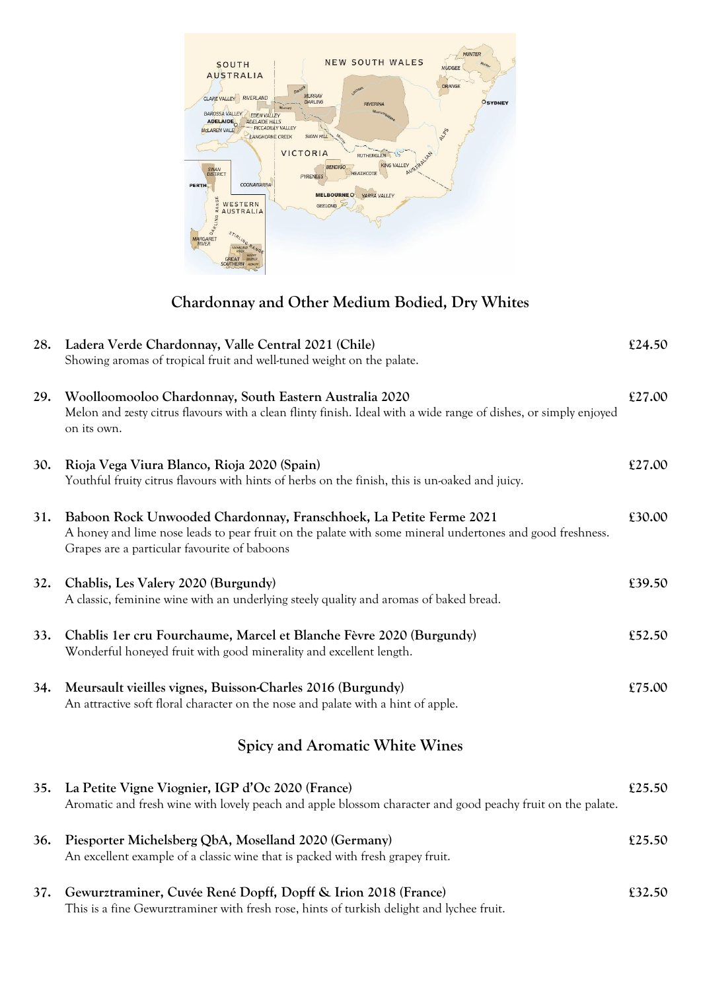

#### **Chardonnay and Other Medium Bodied, Dry Whites**

| 28. | Ladera Verde Chardonnay, Valle Central 2021 (Chile)<br>Showing aromas of tropical fruit and well-tuned weight on the palate.                                                                                                   | £24.50 |
|-----|--------------------------------------------------------------------------------------------------------------------------------------------------------------------------------------------------------------------------------|--------|
| 29. | Woolloomooloo Chardonnay, South Eastern Australia 2020<br>Melon and zesty citrus flavours with a clean flinty finish. Ideal with a wide range of dishes, or simply enjoyed<br>on its own.                                      | £27.00 |
| 30. | Rioja Vega Viura Blanco, Rioja 2020 (Spain)<br>Youthful fruity citrus flavours with hints of herbs on the finish, this is un-oaked and juicy.                                                                                  | £27.00 |
| 31. | Baboon Rock Unwooded Chardonnay, Franschhoek, La Petite Ferme 2021<br>A honey and lime nose leads to pear fruit on the palate with some mineral undertones and good freshness.<br>Grapes are a particular favourite of baboons | £30.00 |
| 32. | Chablis, Les Valery 2020 (Burgundy)<br>A classic, feminine wine with an underlying steely quality and aromas of baked bread.                                                                                                   | £39.50 |
| 33. | Chablis 1er cru Fourchaume, Marcel et Blanche Fèvre 2020 (Burgundy)<br>Wonderful honeyed fruit with good minerality and excellent length.                                                                                      | £52.50 |
| 34. | Meursault vieilles vignes, Buisson-Charles 2016 (Burgundy)<br>An attractive soft floral character on the nose and palate with a hint of apple.                                                                                 | £75.00 |
|     | <b>Spicy and Aromatic White Wines</b>                                                                                                                                                                                          |        |
| 35. | La Petite Vigne Viognier, IGP d'Oc 2020 (France)<br>Aromatic and fresh wine with lovely peach and apple blossom character and good peachy fruit on the palate.                                                                 | £25.50 |
| 36. | Piesporter Michelsberg QbA, Moselland 2020 (Germany)<br>An excellent example of a classic wine that is packed with fresh grapey fruit.                                                                                         | £25.50 |
| 37. | Gewurztraminer, Cuvée René Dopff, Dopff & Irion 2018 (France)<br>This is a fine Gewurztraminer with fresh rose, hints of turkish delight and lychee fruit.                                                                     | £32.50 |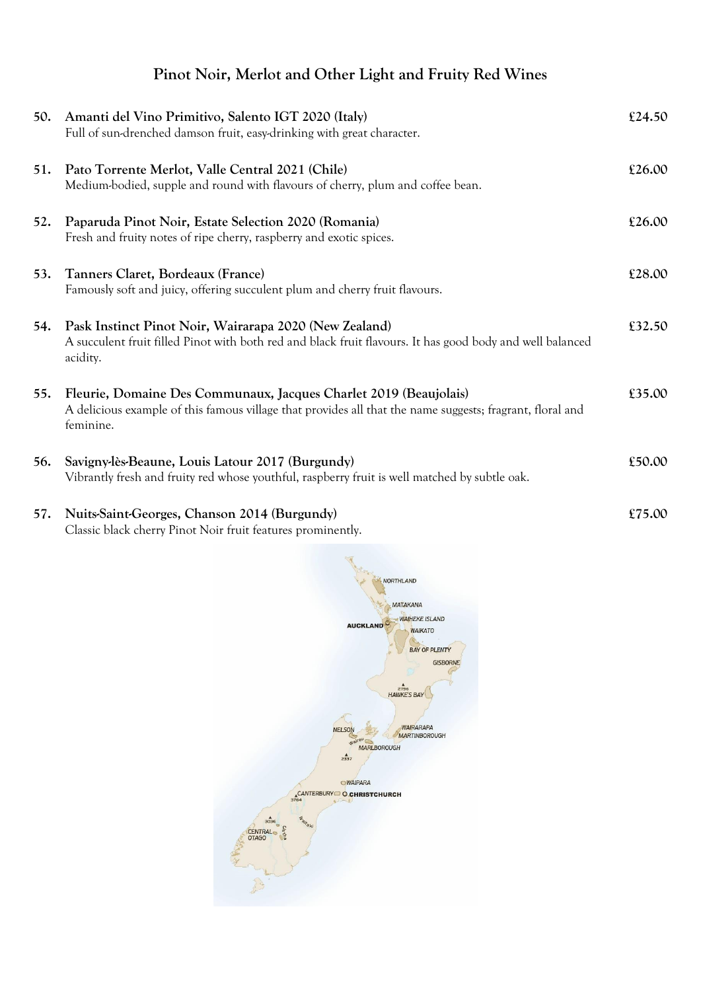## **Pinot Noir, Merlot and Other Light and Fruity Red Wines**

| 50. | Amanti del Vino Primitivo, Salento IGT 2020 (Italy)<br>Full of sun-drenched damson fruit, easy-drinking with great character.                                                               | £24.50 |
|-----|---------------------------------------------------------------------------------------------------------------------------------------------------------------------------------------------|--------|
| 51. | Pato Torrente Merlot, Valle Central 2021 (Chile)<br>Medium-bodied, supple and round with flavours of cherry, plum and coffee bean.                                                          | £26.00 |
| 52. | Paparuda Pinot Noir, Estate Selection 2020 (Romania)<br>Fresh and fruity notes of ripe cherry, raspberry and exotic spices.                                                                 | £26.00 |
| 53. | Tanners Claret, Bordeaux (France)<br>Famously soft and juicy, offering succulent plum and cherry fruit flavours.                                                                            | £28.00 |
| 54. | Pask Instinct Pinot Noir, Wairarapa 2020 (New Zealand)<br>A succulent fruit filled Pinot with both red and black fruit flavours. It has good body and well balanced<br>acidity.             | £32.50 |
| 55. | Fleurie, Domaine Des Communaux, Jacques Charlet 2019 (Beaujolais)<br>A delicious example of this famous village that provides all that the name suggests; fragrant, floral and<br>feminine. | £35.00 |
| 56. | Savigny-lès-Beaune, Louis Latour 2017 (Burgundy)<br>Vibrantly fresh and fruity red whose youthful, raspberry fruit is well matched by subtle oak.                                           | £50.00 |
| 57. | Nuits-Saint-Georges, Chanson 2014 (Burgundy)<br>Classic black cherry Pinot Noir fruit features prominently.                                                                                 | £75.00 |

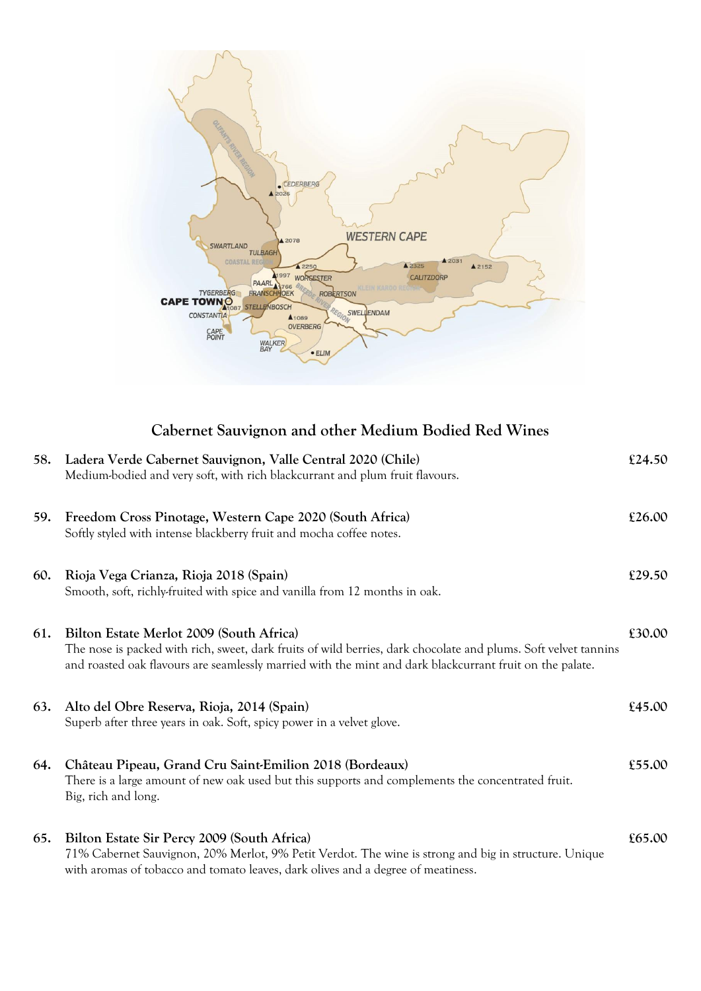

#### **Cabernet Sauvignon and other Medium Bodied Red Wines**

| 58.        | Ladera Verde Cabernet Sauvignon, Valle Central 2020 (Chile)<br>Medium-bodied and very soft, with rich blackcurrant and plum fruit flavours.                                                                                                                             | £24.50 |
|------------|-------------------------------------------------------------------------------------------------------------------------------------------------------------------------------------------------------------------------------------------------------------------------|--------|
| <b>59.</b> | Freedom Cross Pinotage, Western Cape 2020 (South Africa)<br>Softly styled with intense blackberry fruit and mocha coffee notes.                                                                                                                                         | £26.00 |
| 60.        | Rioja Vega Crianza, Rioja 2018 (Spain)<br>Smooth, soft, richly-fruited with spice and vanilla from 12 months in oak.                                                                                                                                                    | £29.50 |
| 61.        | Bilton Estate Merlot 2009 (South Africa)<br>The nose is packed with rich, sweet, dark fruits of wild berries, dark chocolate and plums. Soft velvet tannins<br>and roasted oak flavours are seamlessly married with the mint and dark blackcurrant fruit on the palate. | £30.00 |
| 63.        | Alto del Obre Reserva, Rioja, 2014 (Spain)<br>Superb after three years in oak. Soft, spicy power in a velvet glove.                                                                                                                                                     | £45.00 |
| 64.        | Château Pipeau, Grand Cru Saint-Emilion 2018 (Bordeaux)<br>There is a large amount of new oak used but this supports and complements the concentrated fruit.<br>Big, rich and long.                                                                                     | £55.00 |
| 65.        | Bilton Estate Sir Percy 2009 (South Africa)<br>71% Cabernet Sauvignon, 20% Merlot, 9% Petit Verdot. The wine is strong and big in structure. Unique<br>with aromas of tobacco and tomato leaves, dark olives and a degree of meatiness.                                 | £65.00 |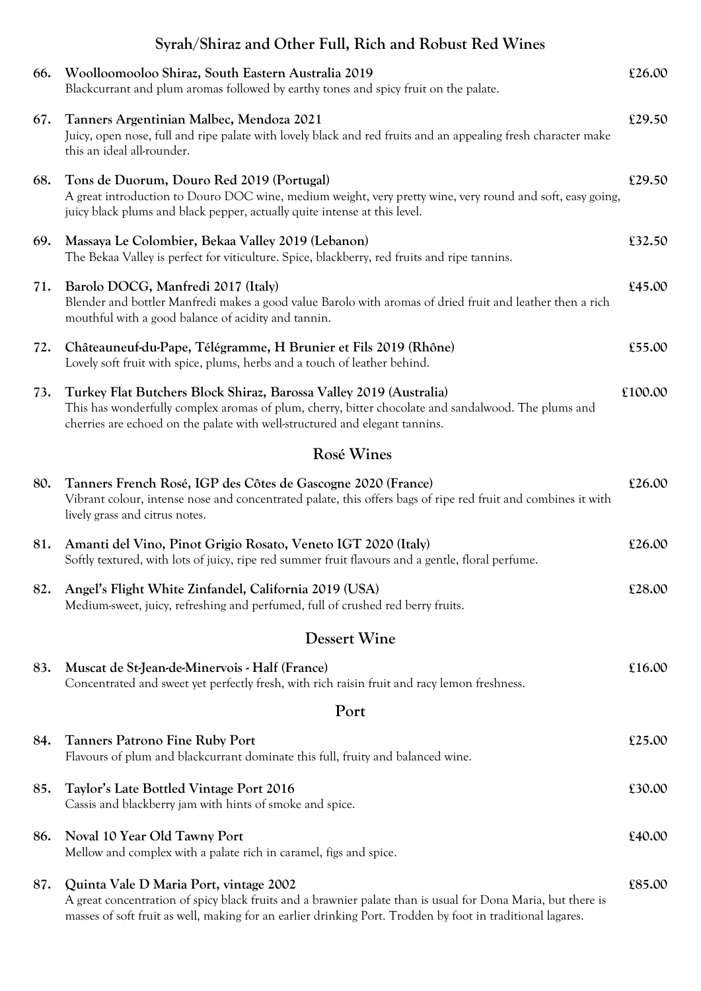|     | Syrah/Shiraz and Other Full, Rich and Robust Red Wines                                                                                                                                                                                                               |         |  |
|-----|----------------------------------------------------------------------------------------------------------------------------------------------------------------------------------------------------------------------------------------------------------------------|---------|--|
| 66. | Woolloomooloo Shiraz, South Eastern Australia 2019<br>Blackcurrant and plum aromas followed by earthy tones and spicy fruit on the palate.                                                                                                                           | £26.00  |  |
| 67. | Tanners Argentinian Malbec, Mendoza 2021<br>Juicy, open nose, full and ripe palate with lovely black and red fruits and an appealing fresh character make<br>this an ideal all-rounder.                                                                              | £29.50  |  |
| 68. | Tons de Duorum, Douro Red 2019 (Portugal)<br>A great introduction to Douro DOC wine, medium weight, very pretty wine, very round and soft, easy going,<br>juicy black plums and black pepper, actually quite intense at this level.                                  | £29.50  |  |
| 69. | Massaya Le Colombier, Bekaa Valley 2019 (Lebanon)<br>The Bekaa Valley is perfect for viticulture. Spice, blackberry, red fruits and ripe tannins.                                                                                                                    | £32.50  |  |
| 71. | Barolo DOCG, Manfredi 2017 (Italy)<br>Blender and bottler Manfredi makes a good value Barolo with aromas of dried fruit and leather then a rich<br>mouthful with a good balance of acidity and tannin.                                                               | £45.00  |  |
| 72. | Châteauneuf-du-Pape, Télégramme, H Brunier et Fils 2019 (Rhône)<br>Lovely soft fruit with spice, plums, herbs and a touch of leather behind.                                                                                                                         | £55.00  |  |
| 73. | Turkey Flat Butchers Block Shiraz, Barossa Valley 2019 (Australia)<br>This has wonderfully complex aromas of plum, cherry, bitter chocolate and sandalwood. The plums and<br>cherries are echoed on the palate with well-structured and elegant tannins.             | £100.00 |  |
|     | Rosé Wines                                                                                                                                                                                                                                                           |         |  |
| 80. | Tanners French Rosé, IGP des Côtes de Gascogne 2020 (France)<br>Vibrant colour, intense nose and concentrated palate, this offers bags of ripe red fruit and combines it with<br>lively grass and citrus notes.                                                      | £26.00  |  |
| 81. | Amanti del Vino, Pinot Grigio Rosato, Veneto IGT 2020 (Italy)<br>Softly textured, with lots of juicy, ripe red summer fruit flavours and a gentle, floral perfume.                                                                                                   | £26.00  |  |
| 82. | Angel's Flight White Zinfandel, California 2019 (USA)<br>Medium-sweet, juicy, refreshing and perfumed, full of crushed red berry fruits.                                                                                                                             | £28.00  |  |
|     | <b>Dessert Wine</b>                                                                                                                                                                                                                                                  |         |  |
| 83. | Muscat de St-Jean-de-Minervois - Half (France)<br>Concentrated and sweet yet perfectly fresh, with rich raisin fruit and racy lemon freshness.                                                                                                                       | £16.00  |  |
|     | Port                                                                                                                                                                                                                                                                 |         |  |
| 84. | <b>Tanners Patrono Fine Ruby Port</b><br>Flavours of plum and blackcurrant dominate this full, fruity and balanced wine.                                                                                                                                             | £25.00  |  |
| 85. | Taylor's Late Bottled Vintage Port 2016<br>Cassis and blackberry jam with hints of smoke and spice.                                                                                                                                                                  | £30.00  |  |
| 86. | Noval 10 Year Old Tawny Port<br>Mellow and complex with a palate rich in caramel, figs and spice.                                                                                                                                                                    | £40.00  |  |
| 87. | Quinta Vale D Maria Port, vintage 2002<br>A great concentration of spicy black fruits and a brawnier palate than is usual for Dona Maria, but there is<br>masses of soft fruit as well, making for an earlier drinking Port. Trodden by foot in traditional lagares. | £85.00  |  |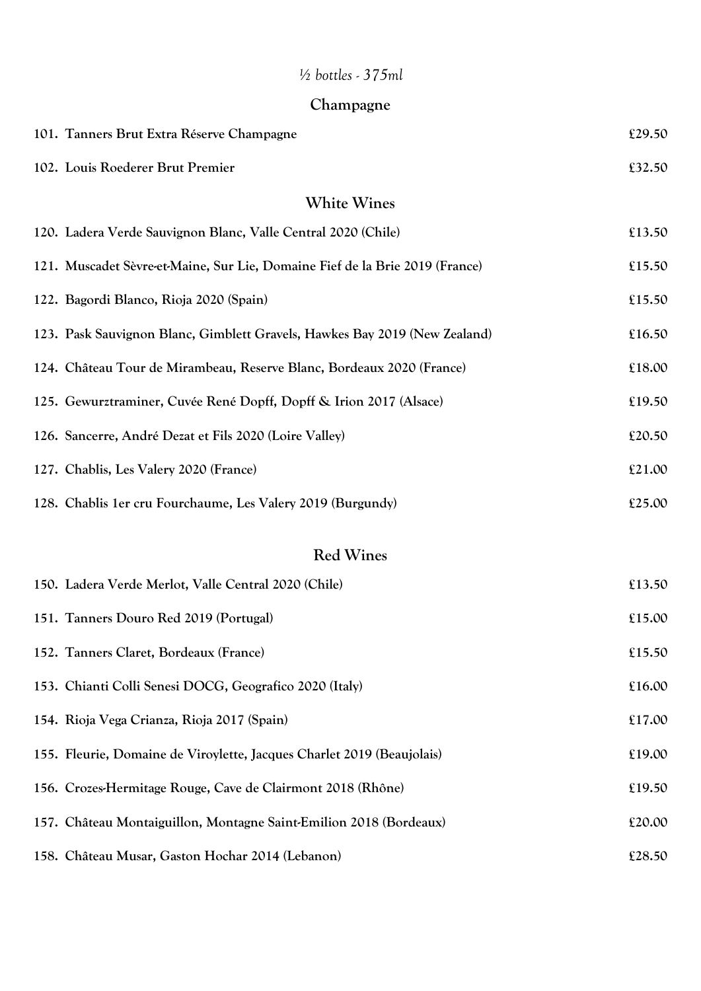## *½ bottles - 375ml*

| Champagne |  |
|-----------|--|
|-----------|--|

| 101. Tanners Brut Extra Réserve Champagne                                    | £29.50 |
|------------------------------------------------------------------------------|--------|
| 102. Louis Roederer Brut Premier                                             | £32.50 |
| <b>White Wines</b>                                                           |        |
| 120. Ladera Verde Sauvignon Blanc, Valle Central 2020 (Chile)                | £13.50 |
| 121. Muscadet Sèvre-et-Maine, Sur Lie, Domaine Fief de la Brie 2019 (France) | £15.50 |
| 122. Bagordi Blanco, Rioja 2020 (Spain)                                      | £15.50 |
| 123. Pask Sauvignon Blanc, Gimblett Gravels, Hawkes Bay 2019 (New Zealand)   | £16.50 |
| 124. Château Tour de Mirambeau, Reserve Blanc, Bordeaux 2020 (France)        | £18.00 |
| 125. Gewurztraminer, Cuvée René Dopff, Dopff & Irion 2017 (Alsace)           | £19.50 |
| 126. Sancerre, André Dezat et Fils 2020 (Loire Valley)                       | £20.50 |
| 127. Chablis, Les Valery 2020 (France)                                       | £21.00 |
| 128. Chablis 1er cru Fourchaume, Les Valery 2019 (Burgundy)                  | £25.00 |
| <b>Red Wines</b>                                                             |        |
| 150. Ladera Verde Merlot, Valle Central 2020 (Chile)                         | £13.50 |
| 151. Tanners Douro Red 2019 (Portugal)                                       | £15.00 |
| 152. Tanners Claret, Bordeaux (France)                                       | £15.50 |
| 153. Chianti Colli Senesi DOCG, Geografico 2020 (Italy)                      | £16.00 |
| 154. Rioja Vega Crianza, Rioja 2017 (Spain)                                  | £17.00 |
| 155. Fleurie, Domaine de Viroylette, Jacques Charlet 2019 (Beaujolais)       | £19.00 |
| 156. Crozes-Hermitage Rouge, Cave de Clairmont 2018 (Rhône)                  | £19.50 |
| 157. Château Montaiguillon, Montagne Saint-Emilion 2018 (Bordeaux)           | £20.00 |
| 158. Château Musar, Gaston Hochar 2014 (Lebanon)                             | £28.50 |